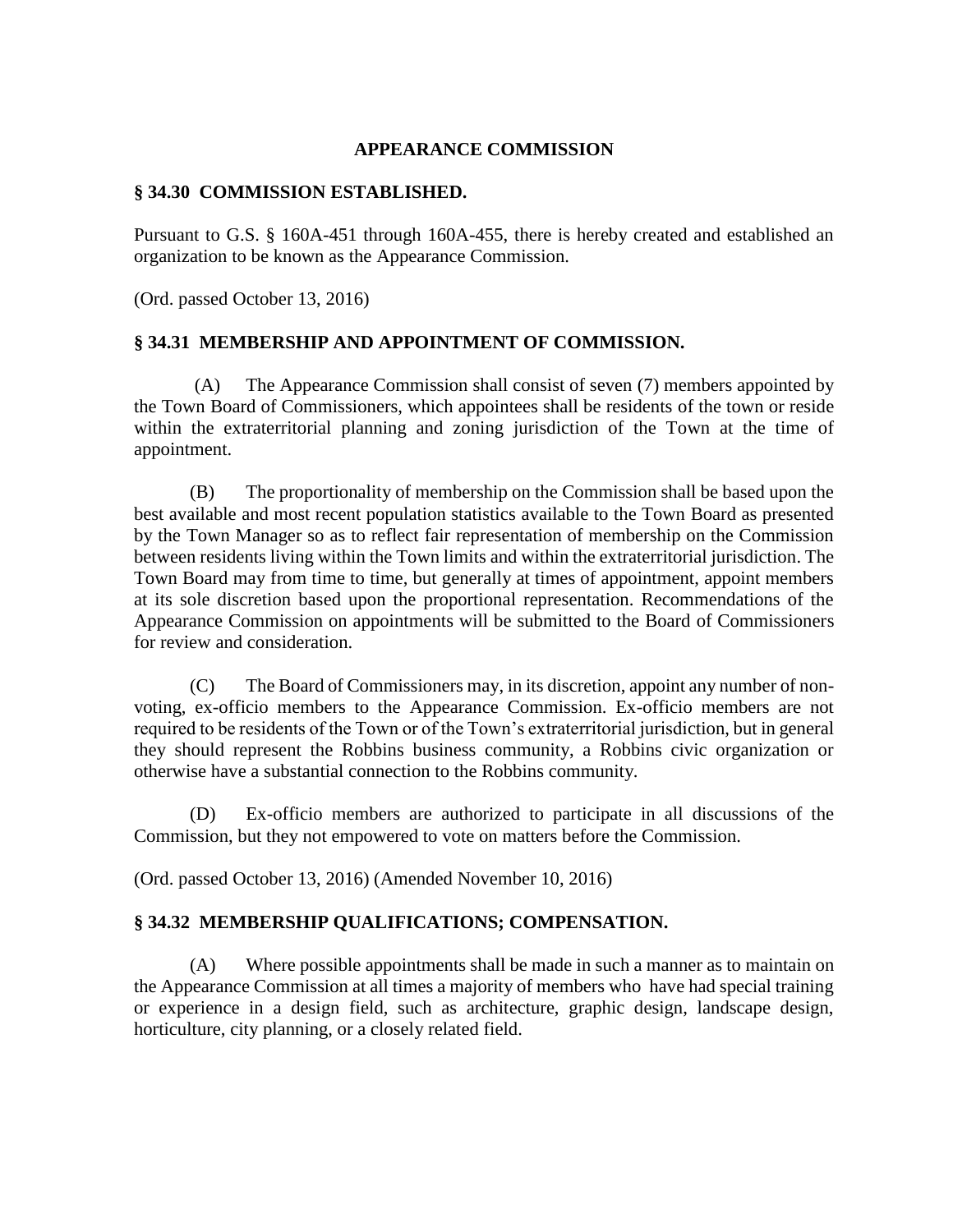# **APPEARANCE COMMISSION**

### **§ 34.30 COMMISSION ESTABLISHED.**

Pursuant to G.S. § 160A-451 through 160A-455, there is hereby created and established an organization to be known as the Appearance Commission.

(Ord. passed October 13, 2016)

# **§ 34.31 MEMBERSHIP AND APPOINTMENT OF COMMISSION.**

(A) The Appearance Commission shall consist of seven (7) members appointed by the Town Board of Commissioners, which appointees shall be residents of the town or reside within the extraterritorial planning and zoning jurisdiction of the Town at the time of appointment.

(B) The proportionality of membership on the Commission shall be based upon the best available and most recent population statistics available to the Town Board as presented by the Town Manager so as to reflect fair representation of membership on the Commission between residents living within the Town limits and within the extraterritorial jurisdiction. The Town Board may from time to time, but generally at times of appointment, appoint members at its sole discretion based upon the proportional representation. Recommendations of the Appearance Commission on appointments will be submitted to the Board of Commissioners for review and consideration.

(C) The Board of Commissioners may, in its discretion, appoint any number of nonvoting, ex-officio members to the Appearance Commission. Ex-officio members are not required to be residents of the Town or of the Town's extraterritorial jurisdiction, but in general they should represent the Robbins business community, a Robbins civic organization or otherwise have a substantial connection to the Robbins community.

(D) Ex-officio members are authorized to participate in all discussions of the Commission, but they not empowered to vote on matters before the Commission.

(Ord. passed October 13, 2016) (Amended November 10, 2016)

# **§ 34.32 MEMBERSHIP QUALIFICATIONS; COMPENSATION.**

(A) Where possible appointments shall be made in such a manner as to maintain on the Appearance Commission at all times a majority of members who have had special training or experience in a design field, such as architecture, graphic design, landscape design, horticulture, city planning, or a closely related field.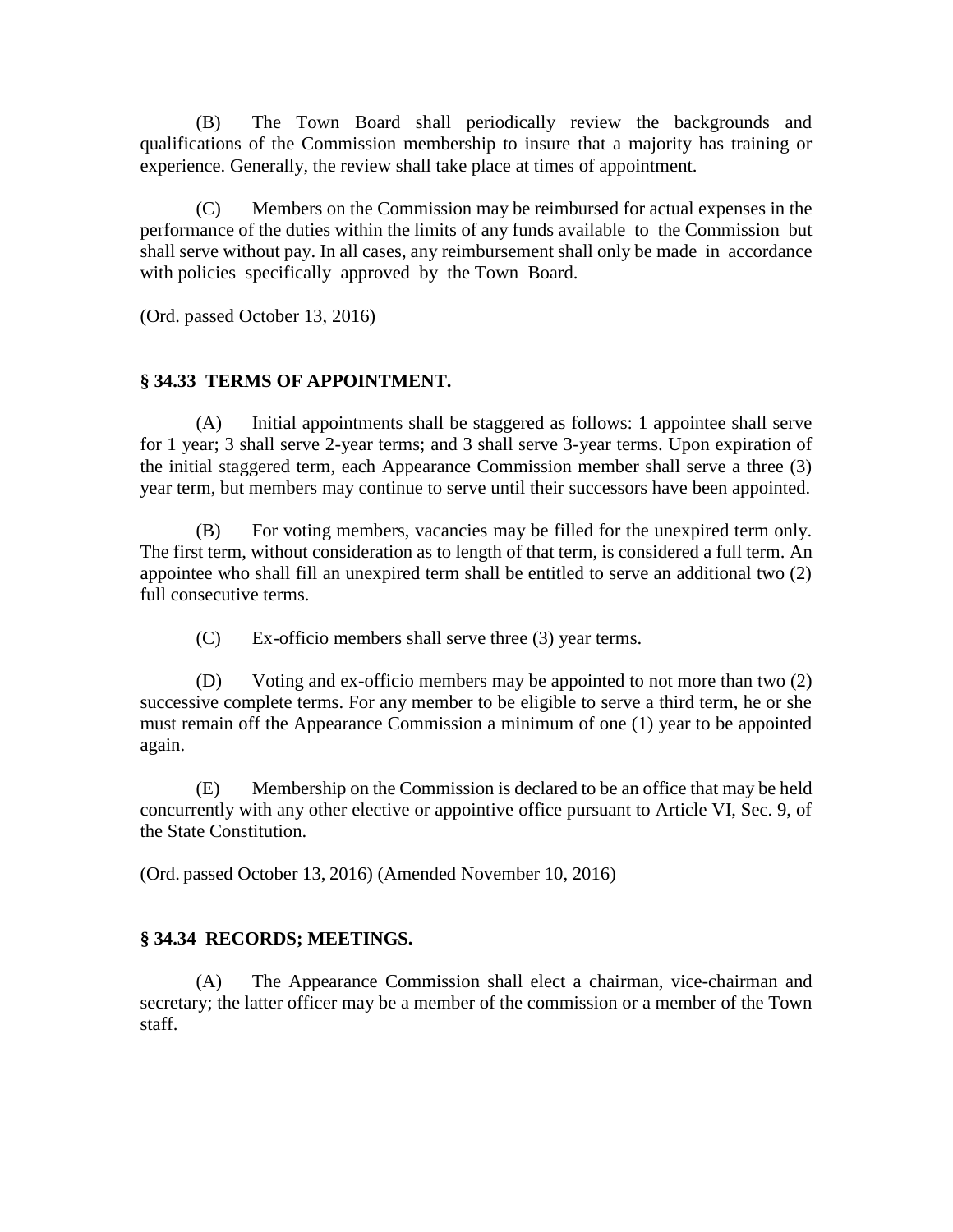(B) The Town Board shall periodically review the backgrounds and qualifications of the Commission membership to insure that a majority has training or experience. Generally, the review shall take place at times of appointment.

(C) Members on the Commission may be reimbursed for actual expenses in the performance of the duties within the limits of any funds available to the Commission but shall serve without pay. In all cases, any reimbursement shall only be made in accordance with policies specifically approved by the Town Board.

(Ord. passed October 13, 2016)

# **§ 34.33 TERMS OF APPOINTMENT.**

(A) Initial appointments shall be staggered as follows: 1 appointee shall serve for 1 year; 3 shall serve 2-year terms; and 3 shall serve 3-year terms. Upon expiration of the initial staggered term, each Appearance Commission member shall serve a three (3) year term, but members may continue to serve until their successors have been appointed.

(B) For voting members, vacancies may be filled for the unexpired term only. The first term, without consideration as to length of that term, is considered a full term. An appointee who shall fill an unexpired term shall be entitled to serve an additional two (2) full consecutive terms.

(C) Ex-officio members shall serve three (3) year terms.

(D) Voting and ex-officio members may be appointed to not more than two (2) successive complete terms. For any member to be eligible to serve a third term, he or she must remain off the Appearance Commission a minimum of one (1) year to be appointed again.

(E) Membership on the Commission is declared to be an office that may be held concurrently with any other elective or appointive office pursuant to Article VI, Sec. 9, of the State Constitution.

(Ord. passed October 13, 2016) (Amended November 10, 2016)

# **§ 34.34 RECORDS; MEETINGS.**

(A) The Appearance Commission shall elect a chairman, vice-chairman and secretary; the latter officer may be a member of the commission or a member of the Town staff.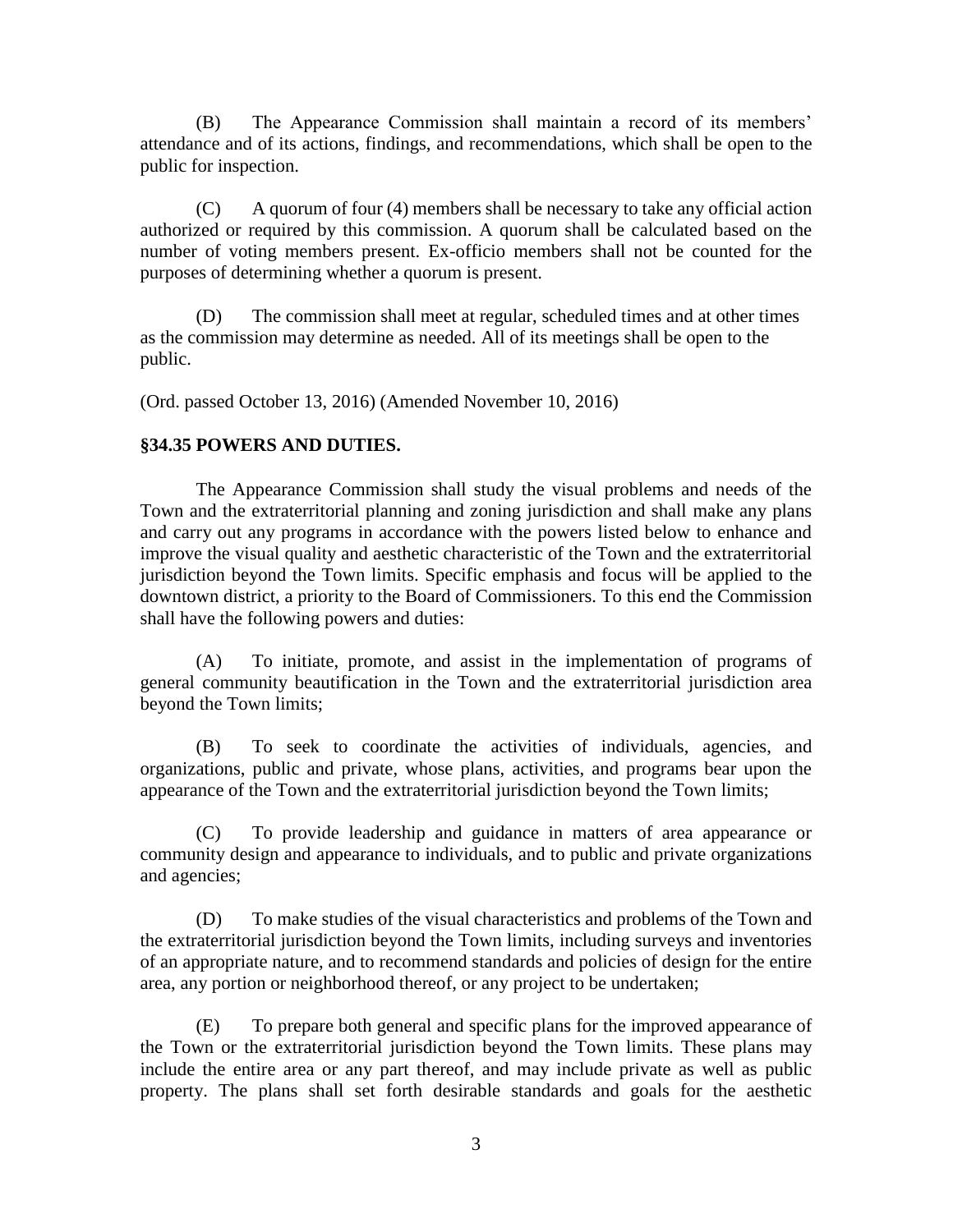(B) The Appearance Commission shall maintain a record of its members' attendance and of its actions, findings, and recommendations, which shall be open to the public for inspection.

(C) A quorum of four (4) members shall be necessary to take any official action authorized or required by this commission. A quorum shall be calculated based on the number of voting members present. Ex-officio members shall not be counted for the purposes of determining whether a quorum is present.

(D) The commission shall meet at regular, scheduled times and at other times as the commission may determine as needed. All of its meetings shall be open to the public.

(Ord. passed October 13, 2016) (Amended November 10, 2016)

### **§34.35 POWERS AND DUTIES.**

The Appearance Commission shall study the visual problems and needs of the Town and the extraterritorial planning and zoning jurisdiction and shall make any plans and carry out any programs in accordance with the powers listed below to enhance and improve the visual quality and aesthetic characteristic of the Town and the extraterritorial jurisdiction beyond the Town limits. Specific emphasis and focus will be applied to the downtown district, a priority to the Board of Commissioners. To this end the Commission shall have the following powers and duties:

(A) To initiate, promote, and assist in the implementation of programs of general community beautification in the Town and the extraterritorial jurisdiction area beyond the Town limits;

(B) To seek to coordinate the activities of individuals, agencies, and organizations, public and private, whose plans, activities, and programs bear upon the appearance of the Town and the extraterritorial jurisdiction beyond the Town limits;

(C) To provide leadership and guidance in matters of area appearance or community design and appearance to individuals, and to public and private organizations and agencies;

(D) To make studies of the visual characteristics and problems of the Town and the extraterritorial jurisdiction beyond the Town limits, including surveys and inventories of an appropriate nature, and to recommend standards and policies of design for the entire area, any portion or neighborhood thereof, or any project to be undertaken;

(E) To prepare both general and specific plans for the improved appearance of the Town or the extraterritorial jurisdiction beyond the Town limits. These plans may include the entire area or any part thereof, and may include private as well as public property. The plans shall set forth desirable standards and goals for the aesthetic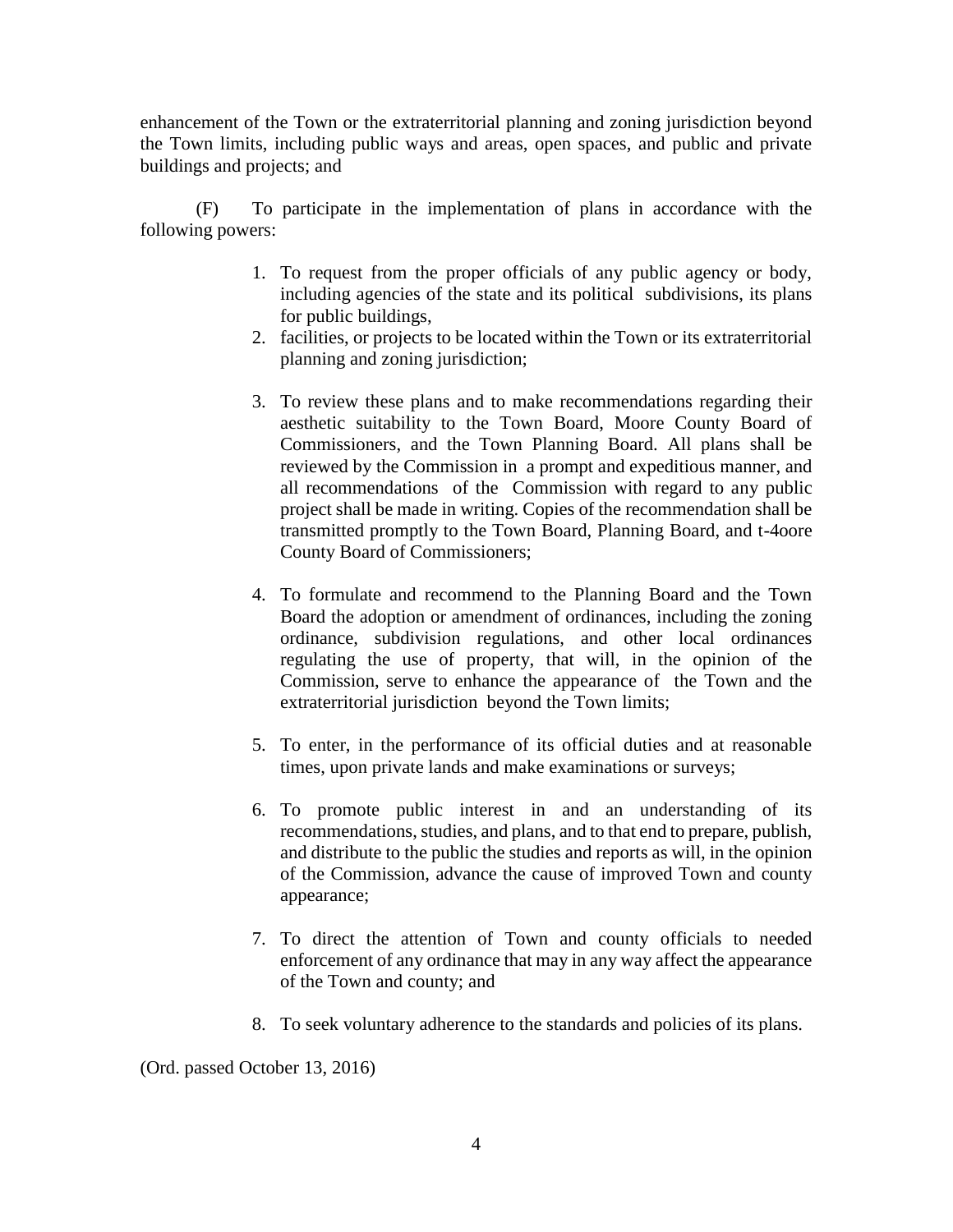enhancement of the Town or the extraterritorial planning and zoning jurisdiction beyond the Town limits, including public ways and areas, open spaces, and public and private buildings and projects; and

(F) To participate in the implementation of plans in accordance with the following powers:

- 1. To request from the proper officials of any public agency or body, including agencies of the state and its political subdivisions, its plans for public buildings,
- 2. facilities, or projects to be located within the Town or its extraterritorial planning and zoning jurisdiction;
- 3. To review these plans and to make recommendations regarding their aesthetic suitability to the Town Board, Moore County Board of Commissioners, and the Town Planning Board. All plans shall be reviewed by the Commission in a prompt and expeditious manner, and all recommendations of the Commission with regard to any public project shall be made in writing. Copies of the recommendation shall be transmitted promptly to the Town Board, Planning Board, and t-4oore County Board of Commissioners;
- 4. To formulate and recommend to the Planning Board and the Town Board the adoption or amendment of ordinances, including the zoning ordinance, subdivision regulations, and other local ordinances regulating the use of property, that will, in the opinion of the Commission, serve to enhance the appearance of the Town and the extraterritorial jurisdiction beyond the Town limits;
- 5. To enter, in the performance of its official duties and at reasonable times, upon private lands and make examinations or surveys;
- 6. To promote public interest in and an understanding of its recommendations, studies, and plans, and to that end to prepare, publish, and distribute to the public the studies and reports as will, in the opinion of the Commission, advance the cause of improved Town and county appearance;
- 7. To direct the attention of Town and county officials to needed enforcement of any ordinance that may in any way affect the appearance of the Town and county; and
- 8. To seek voluntary adherence to the standards and policies of its plans.

(Ord. passed October 13, 2016)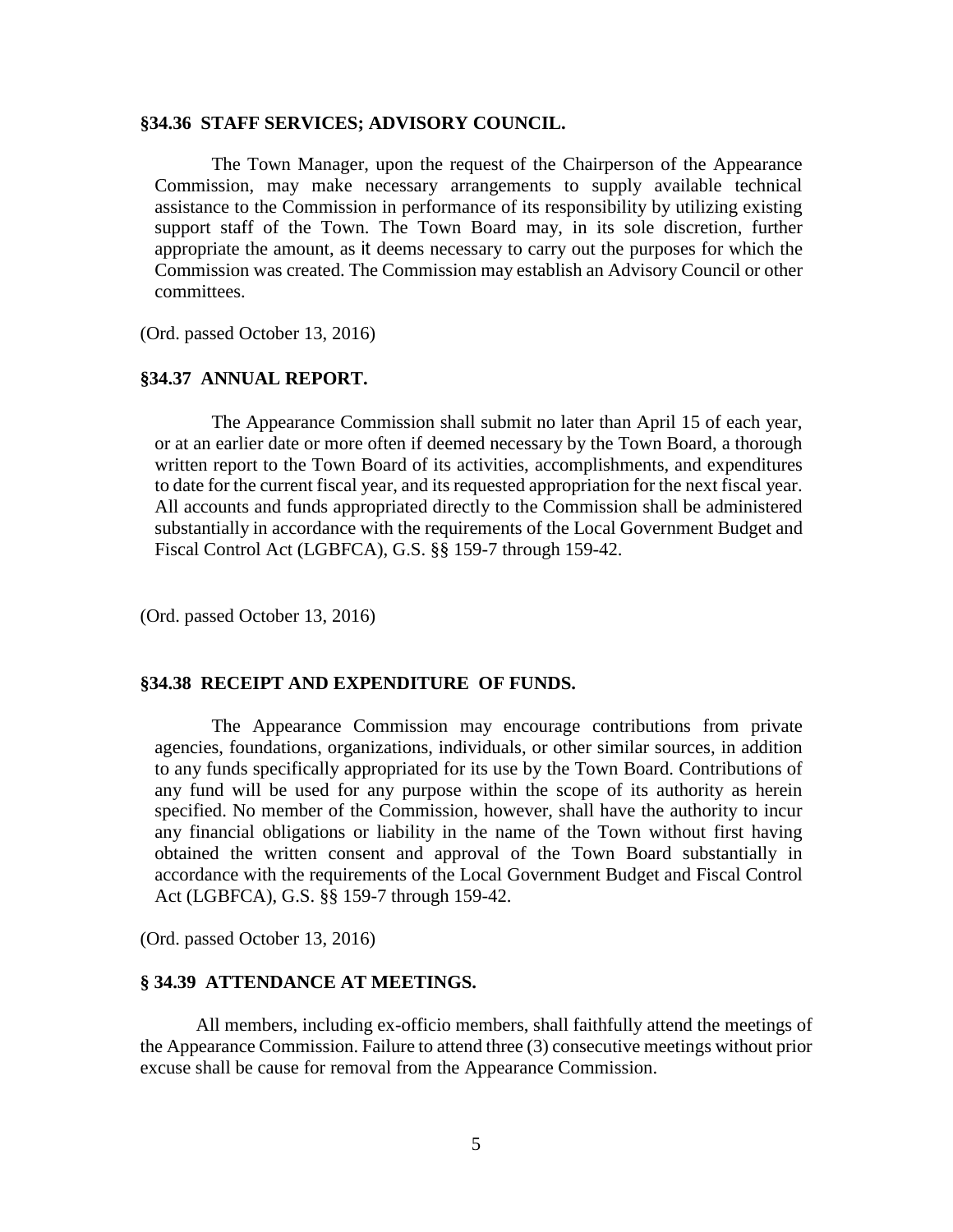### **§34.36 STAFF SERVICES; ADVISORY COUNCIL.**

The Town Manager, upon the request of the Chairperson of the Appearance Commission, may make necessary arrangements to supply available technical assistance to the Commission in performance of its responsibility by utilizing existing support staff of the Town. The Town Board may, in its sole discretion, further appropriate the amount, as it deems necessary to carry out the purposes for which the Commission was created. The Commission may establish an Advisory Council or other committees.

(Ord. passed October 13, 2016)

### **§34.37 ANNUAL REPORT.**

The Appearance Commission shall submit no later than April 15 of each year, or at an earlier date or more often if deemed necessary by the Town Board, a thorough written report to the Town Board of its activities, accomplishments, and expenditures to date for the current fiscal year, and its requested appropriation for the next fiscal year. All accounts and funds appropriated directly to the Commission shall be administered substantially in accordance with the requirements of the Local Government Budget and Fiscal Control Act (LGBFCA), G.S. §§ 159-7 through 159-42.

(Ord. passed October 13, 2016)

### **§34.38 RECEIPT AND EXPENDITURE OF FUNDS.**

The Appearance Commission may encourage contributions from private agencies, foundations, organizations, individuals, or other similar sources, in addition to any funds specifically appropriated for its use by the Town Board. Contributions of any fund will be used for any purpose within the scope of its authority as herein specified. No member of the Commission, however, shall have the authority to incur any financial obligations or liability in the name of the Town without first having obtained the written consent and approval of the Town Board substantially in accordance with the requirements of the Local Government Budget and Fiscal Control Act (LGBFCA), G.S. §§ 159-7 through 159-42.

(Ord. passed October 13, 2016)

#### **§ 34.39 ATTENDANCE AT MEETINGS.**

All members, including ex-officio members, shall faithfully attend the meetings of the Appearance Commission. Failure to attend three (3) consecutive meetings without prior excuse shall be cause for removal from the Appearance Commission.